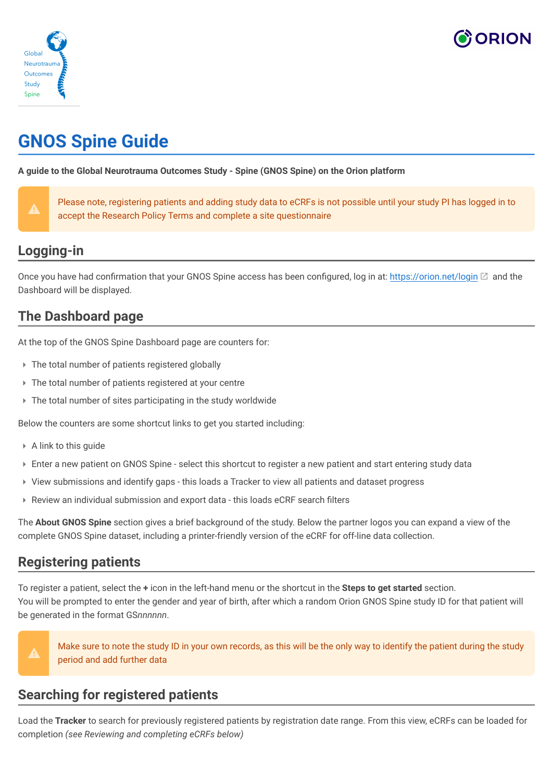



# **GNOS Spine Guide**

**A guide to the Global Neurotrauma Outcomes Study - Spine (GNOS Spine) on the Orion platform**

| ı<br>٠                |  |
|-----------------------|--|
| с<br>, , ,<br>_______ |  |
|                       |  |
|                       |  |

Please note, registering patients and adding study data to eCRFs is not possible until your study PI has logged in to accept the Research Policy Terms and complete a site questionnaire

## **Logging-in**

Once you have had confirmation that your GNOS Spine access has been configured, log in at: https://orion.net/login  $\boxtimes$  and the Dashboard will be displayed.

# **The Dashboard page**

At the top of the GNOS Spine Dashboard page are counters for:

- ▸ The total number of patients registered globally
- ▸ The total number of patients registered at your centre
- ▸ The total number of sites participating in the study worldwide

Below the counters are some shortcut links to get you started including:

- ▸ A link to this guide
- ▸ Enter a new patient on GNOS Spine select this shortcut to register a new patient and start entering study data
- ▸ View submissions and identify gaps this loads a Tracker to view all patients and dataset progress
- ▸ Review an individual submission and export data this loads eCRF search filters

The **About GNOS Spine** section gives a brief background of the study. Below the partner logos you can expand a view of the complete GNOS Spine dataset, including a printer-friendly version of the eCRF for off-line data collection.

#### **Registering patients**

To register a patient, select the **+** icon in the left-hand menu or the shortcut in the **Steps to get started** section. You will be prompted to enter the gender and year of birth, after which a random Orion GNOS Spine study ID for that patient will be generated in the format GS*nnnnnn*.



Make sure to note the study ID in your own records, as this will be the only way to identify the patient during the study period and add further data

### **Searching for registered patients**

Load the **Tracker** to search for previously registered patients by registration date range. From this view, eCRFs can be loaded for completion *(see Reviewing and completing eCRFs below)*